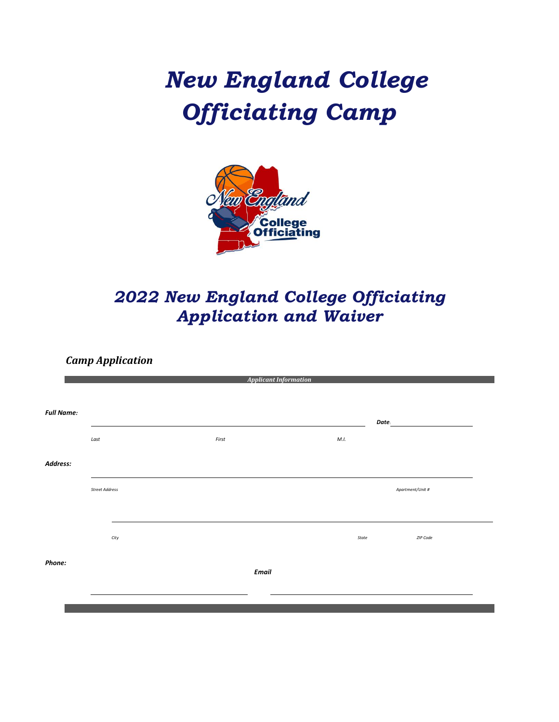# *New England College Officiating Camp*



## *2022 New England College Officiating Application and Waiver*

*Camp Application*

|                   | <b>Applicant Information</b> |      |       |              |       |                  |          |
|-------------------|------------------------------|------|-------|--------------|-------|------------------|----------|
|                   |                              |      |       |              |       |                  |          |
| <b>Full Name:</b> |                              |      |       | Date:        |       |                  |          |
|                   | $\it Last$                   |      | First |              | M.I.  |                  |          |
| Address:          |                              |      |       |              |       |                  |          |
|                   | <b>Street Address</b>        |      |       |              |       | Apartment/Unit # |          |
|                   |                              | City |       |              | State |                  | ZIP Code |
| Phone:            |                              |      |       |              |       |                  |          |
|                   |                              |      |       | <b>Email</b> |       |                  |          |
|                   |                              |      |       |              |       |                  |          |